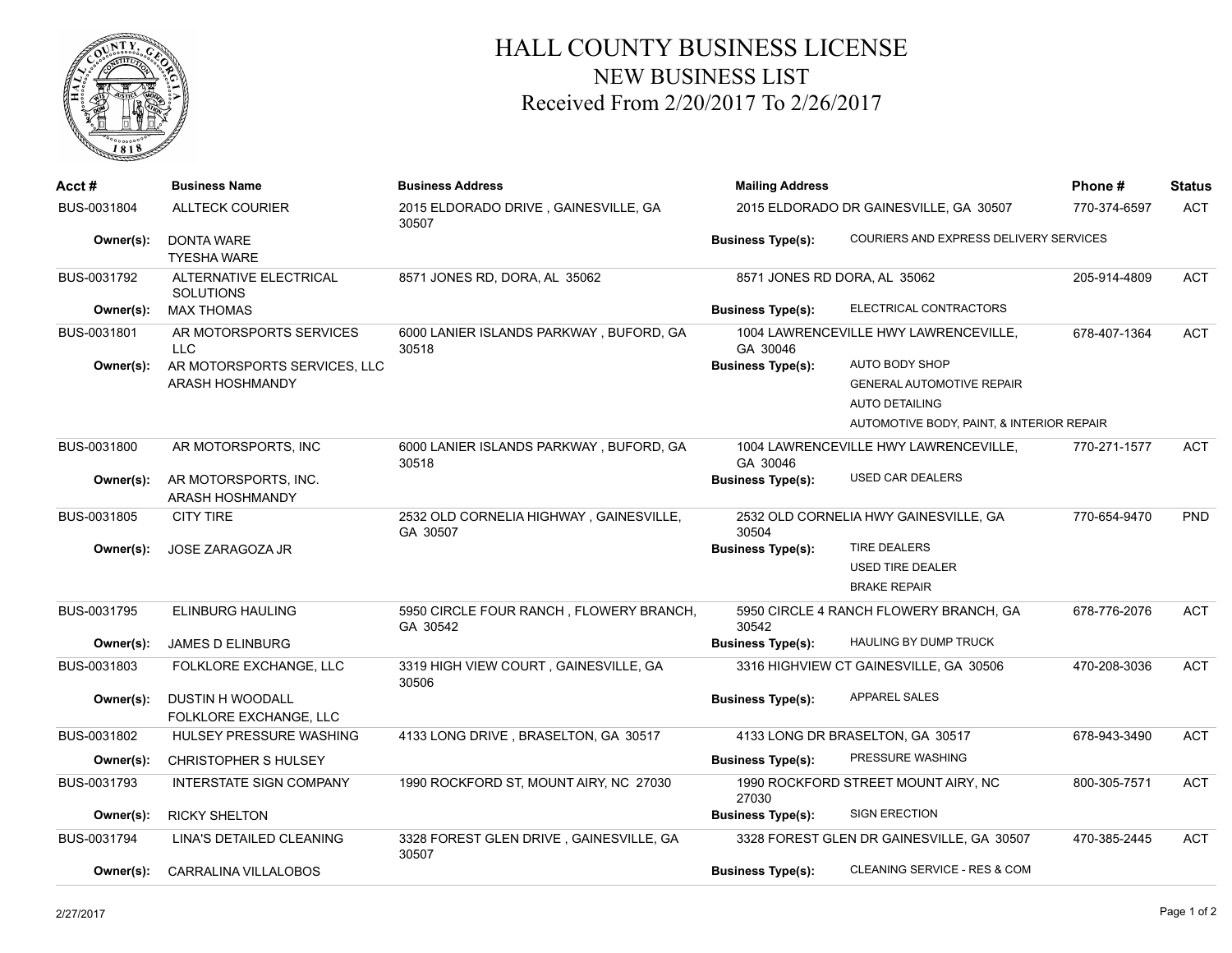

## HALL COUNTY BUSINESS LICENSE NEW BUSINESS LIST Received From 2/20/2017 To 2/26/2017

| Acct #      | <b>Business Name</b>                              | <b>Business Address</b>                             | <b>Mailing Address</b>                 | Phone#                                         | <b>Status</b> |            |
|-------------|---------------------------------------------------|-----------------------------------------------------|----------------------------------------|------------------------------------------------|---------------|------------|
| BUS-0031804 | <b>ALLTECK COURIER</b>                            | 2015 ELDORADO DRIVE, GAINESVILLE, GA<br>30507       | 2015 ELDORADO DR GAINESVILLE, GA 30507 |                                                | 770-374-6597  | <b>ACT</b> |
| Owner(s):   | <b>DONTA WARE</b><br><b>TYESHA WARE</b>           |                                                     | <b>Business Type(s):</b>               | COURIERS AND EXPRESS DELIVERY SERVICES         |               |            |
| BUS-0031792 | ALTERNATIVE ELECTRICAL<br><b>SOLUTIONS</b>        | 8571 JONES RD, DORA, AL 35062                       | 8571 JONES RD DORA, AL 35062           |                                                | 205-914-4809  | <b>ACT</b> |
| Owner(s):   | <b>MAX THOMAS</b>                                 |                                                     | <b>Business Type(s):</b>               | ELECTRICAL CONTRACTORS                         |               |            |
| BUS-0031801 | AR MOTORSPORTS SERVICES<br><b>LLC</b>             | 6000 LANIER ISLANDS PARKWAY, BUFORD, GA<br>30518    | GA 30046                               | 1004 LAWRENCEVILLE HWY LAWRENCEVILLE,          | 678-407-1364  | <b>ACT</b> |
| Owner(s):   | AR MOTORSPORTS SERVICES, LLC                      |                                                     | <b>Business Type(s):</b>               | AUTO BODY SHOP                                 |               |            |
|             | ARASH HOSHMANDY                                   |                                                     |                                        | <b>GENERAL AUTOMOTIVE REPAIR</b>               |               |            |
|             |                                                   |                                                     |                                        | <b>AUTO DETAILING</b>                          |               |            |
|             |                                                   |                                                     |                                        | AUTOMOTIVE BODY, PAINT, & INTERIOR REPAIR      |               |            |
| BUS-0031800 | AR MOTORSPORTS, INC                               | 6000 LANIER ISLANDS PARKWAY, BUFORD, GA<br>30518    | GA 30046                               | 1004 LAWRENCEVILLE HWY LAWRENCEVILLE,          | 770-271-1577  | <b>ACT</b> |
| Owner(s):   | AR MOTORSPORTS, INC.<br>ARASH HOSHMANDY           |                                                     | <b>Business Type(s):</b>               | <b>USED CAR DEALERS</b>                        |               |            |
| BUS-0031805 | <b>CITY TIRE</b>                                  | 2532 OLD CORNELIA HIGHWAY, GAINESVILLE,<br>GA 30507 | 30504                                  | 2532 OLD CORNELIA HWY GAINESVILLE, GA          | 770-654-9470  | <b>PND</b> |
| Owner(s):   | JOSE ZARAGOZA JR                                  |                                                     | <b>Business Type(s):</b>               | <b>TIRE DEALERS</b><br><b>USED TIRE DEALER</b> |               |            |
|             |                                                   |                                                     |                                        | <b>BRAKE REPAIR</b>                            |               |            |
| BUS-0031795 | <b>ELINBURG HAULING</b>                           | 5950 CIRCLE FOUR RANCH, FLOWERY BRANCH,<br>GA 30542 | 30542                                  | 5950 CIRCLE 4 RANCH FLOWERY BRANCH, GA         | 678-776-2076  | <b>ACT</b> |
| Owner(s):   | <b>JAMES D ELINBURG</b>                           |                                                     | <b>Business Type(s):</b>               | HAULING BY DUMP TRUCK                          |               |            |
| BUS-0031803 | FOLKLORE EXCHANGE, LLC                            | 3319 HIGH VIEW COURT, GAINESVILLE, GA<br>30506      |                                        | 3316 HIGHVIEW CT GAINESVILLE, GA 30506         | 470-208-3036  | <b>ACT</b> |
| Owner(s):   | <b>DUSTIN H WOODALL</b><br>FOLKLORE EXCHANGE, LLC |                                                     | <b>Business Type(s):</b>               | <b>APPAREL SALES</b>                           |               |            |
| BUS-0031802 | <b>HULSEY PRESSURE WASHING</b>                    | 4133 LONG DRIVE, BRASELTON, GA 30517                |                                        | 4133 LONG DR BRASELTON, GA 30517               | 678-943-3490  | <b>ACT</b> |
| Owner(s):   | <b>CHRISTOPHER S HULSEY</b>                       |                                                     | <b>Business Type(s):</b>               | PRESSURE WASHING                               |               |            |
| BUS-0031793 | <b>INTERSTATE SIGN COMPANY</b>                    | 1990 ROCKFORD ST, MOUNT AIRY, NC 27030              | 27030                                  | 1990 ROCKFORD STREET MOUNT AIRY, NC            | 800-305-7571  | <b>ACT</b> |
| Owner(s):   | <b>RICKY SHELTON</b>                              |                                                     | <b>Business Type(s):</b>               | <b>SIGN ERECTION</b>                           |               |            |
| BUS-0031794 | LINA'S DETAILED CLEANING                          | 3328 FOREST GLEN DRIVE, GAINESVILLE, GA<br>30507    |                                        | 3328 FOREST GLEN DR GAINESVILLE, GA 30507      | 470-385-2445  | <b>ACT</b> |
| Owner(s):   | <b>CARRALINA VILLALOBOS</b>                       |                                                     | <b>Business Type(s):</b>               | <b>CLEANING SERVICE - RES &amp; COM</b>        |               |            |